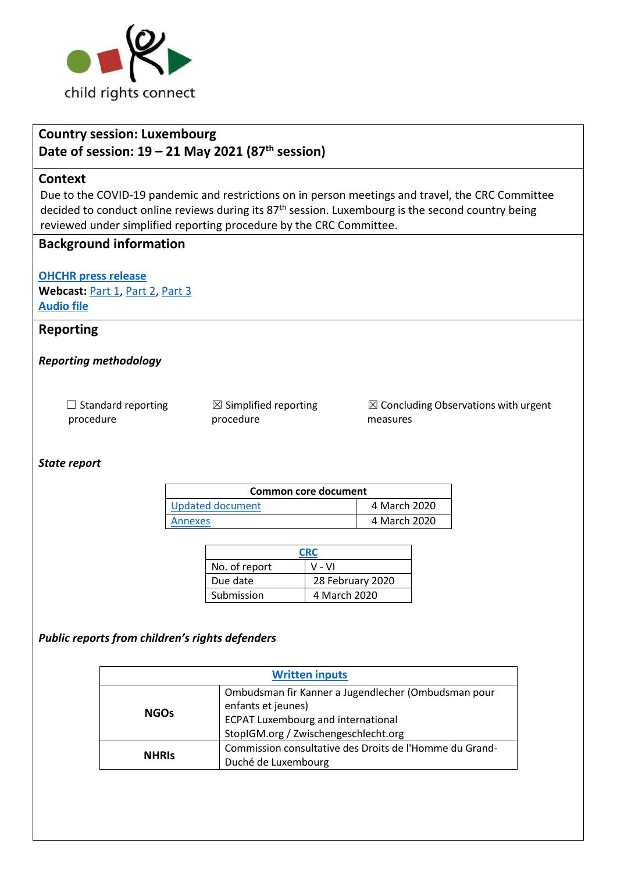

# **Country session: Luxembourg**

## **Date of session: 19 – 21 May 2021 (87th session)**

#### **Context**

Due to the COVID-19 pandemic and restrictions on in person meetings and travel, the CRC Committee decided to conduct online reviews during its 87<sup>th</sup> session. Luxembourg is the second country being reviewed under simplified reporting procedure by the CRC Committee.

### **Background information**

**[OHCHR press release](https://www.ohchr.org/EN/NewsEvents/Pages/DisplayNews.aspx?NewsID=27109&LangID=E)** Webcast: [Part 1,](http://webtv.un.org/meetings-events/human-rights-treaty-bodies/committee-on-the-rights-of-the-child/watch/consideration-of-luxembourg-2512th-meeting-87th-session-committee-on-the-rights-of-the-child/6255050382001) [Part 2,](http://webtv.un.org/meetings-events/human-rights-treaty-bodies/committee-on-the-rights-of-the-child/watch/consideration-of-luxembourg-contd-2514th-meeting-87th-session-committee-on-the-rights-of-the-child/6255265147001) [Part 3](http://webtv.un.org/meetings-events/human-rights-treaty-bodies/committee-on-the-rights-of-the-child/watch/consideration-of-luxembourg-contd-part-2-2516th-meeting-87th-session-committee-on-the-rights-of-the-child/6255406023001) **[Audio file](https://conf.unog.ch/digitalrecordings/)**

### **Reporting**

#### *Reporting methodology*

| $\Box$ Standard reporting | $\boxtimes$ Simplified reporting | $\boxtimes$ Concluding Observations with urgent |
|---------------------------|----------------------------------|-------------------------------------------------|
| procedure                 | procedure                        | measures                                        |

#### *State report*

| Common core document |              |  |
|----------------------|--------------|--|
| Updated document     | 4 March 2020 |  |
| Annexes              | 4 March 2020 |  |

| <b>CRC</b>    |                  |  |
|---------------|------------------|--|
| No. of report | V - VI           |  |
| Due date      | 28 February 2020 |  |
| Submission    | 4 March 2020     |  |

#### *Public reports from children's rights defenders*

| <b>Written inputs</b> |                                                                                                                                                                |  |
|-----------------------|----------------------------------------------------------------------------------------------------------------------------------------------------------------|--|
| <b>NGOs</b>           | Ombudsman fir Kanner a Jugendlecher (Ombudsman pour<br>enfants et jeunes)<br><b>ECPAT Luxembourg and international</b><br>StopIGM.org / Zwischengeschlecht.org |  |
| <b>NHRIS</b>          | Commission consultative des Droits de l'Homme du Grand-<br>Duché de Luxembourg                                                                                 |  |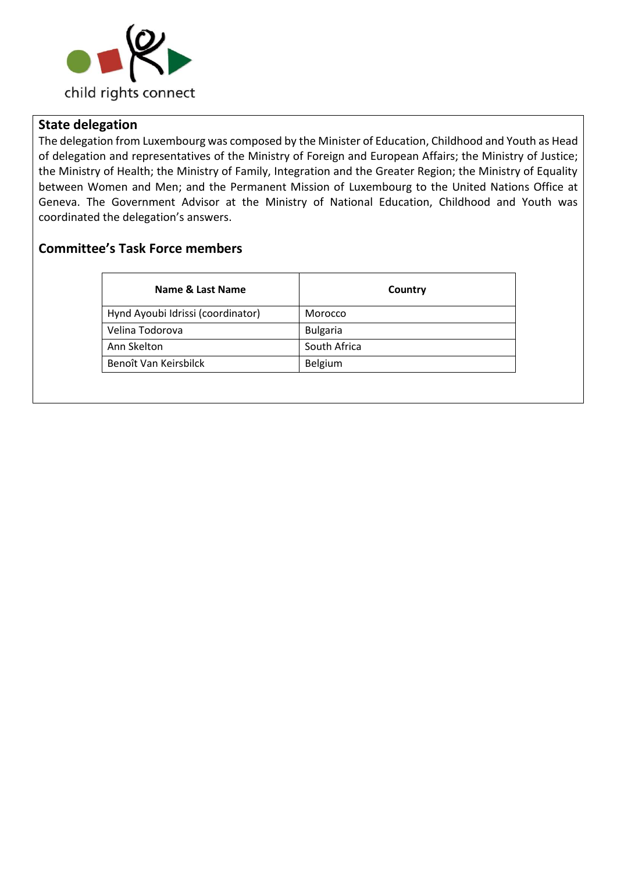

### **State delegation**

The delegation from Luxembourg was composed by the Minister of Education, Childhood and Youth as Head of delegation and representatives of the Ministry of Foreign and European Affairs; the Ministry of Justice; the Ministry of Health; the Ministry of Family, Integration and the Greater Region; the Ministry of Equality between Women and Men; and the Permanent Mission of Luxembourg to the United Nations Office at Geneva. The Government Advisor at the Ministry of National Education, Childhood and Youth was coordinated the delegation's answers.

### **Committee's Task Force members**

| Name & Last Name                  | Country         |  |
|-----------------------------------|-----------------|--|
| Hynd Ayoubi Idrissi (coordinator) | Morocco         |  |
| Velina Todorova                   | <b>Bulgaria</b> |  |
| Ann Skelton                       | South Africa    |  |
| Benoît Van Keirsbilck             | Belgium         |  |
|                                   |                 |  |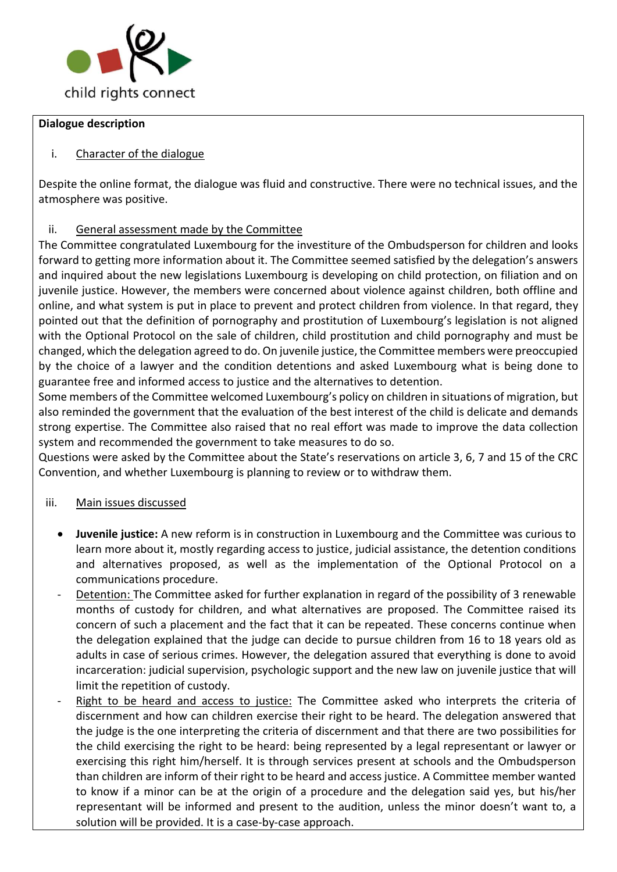

#### **Dialogue description**

### i. Character of the dialogue

Despite the online format, the dialogue was fluid and constructive. There were no technical issues, and the atmosphere was positive.

### ii. General assessment made by the Committee

The Committee congratulated Luxembourg for the investiture of the Ombudsperson for children and looks forward to getting more information about it. The Committee seemed satisfied by the delegation's answers and inquired about the new legislations Luxembourg is developing on child protection, on filiation and on juvenile justice. However, the members were concerned about violence against children, both offline and online, and what system is put in place to prevent and protect children from violence. In that regard, they pointed out that the definition of pornography and prostitution of Luxembourg's legislation is not aligned with the Optional Protocol on the sale of children, child prostitution and child pornography and must be changed, which the delegation agreed to do. On juvenile justice, the Committee members were preoccupied by the choice of a lawyer and the condition detentions and asked Luxembourg what is being done to guarantee free and informed access to justice and the alternatives to detention.

Some members of the Committee welcomed Luxembourg's policy on children in situations of migration, but also reminded the government that the evaluation of the best interest of the child is delicate and demands strong expertise. The Committee also raised that no real effort was made to improve the data collection system and recommended the government to take measures to do so.

Questions were asked by the Committee about the State's reservations on article 3, 6, 7 and 15 of the CRC Convention, and whether Luxembourg is planning to review or to withdraw them.

#### iii. Main issues discussed

- **Juvenile justice:** A new reform is in construction in Luxembourg and the Committee was curious to learn more about it, mostly regarding access to justice, judicial assistance, the detention conditions and alternatives proposed, as well as the implementation of the Optional Protocol on a communications procedure.
- Detention: The Committee asked for further explanation in regard of the possibility of 3 renewable months of custody for children, and what alternatives are proposed. The Committee raised its concern of such a placement and the fact that it can be repeated. These concerns continue when the delegation explained that the judge can decide to pursue children from 16 to 18 years old as adults in case of serious crimes. However, the delegation assured that everything is done to avoid incarceration: judicial supervision, psychologic support and the new law on juvenile justice that will limit the repetition of custody.
- Right to be heard and access to justice: The Committee asked who interprets the criteria of discernment and how can children exercise their right to be heard. The delegation answered that the judge is the one interpreting the criteria of discernment and that there are two possibilities for the child exercising the right to be heard: being represented by a legal representant or lawyer or exercising this right him/herself. It is through services present at schools and the Ombudsperson than children are inform of their right to be heard and access justice. A Committee member wanted to know if a minor can be at the origin of a procedure and the delegation said yes, but his/her representant will be informed and present to the audition, unless the minor doesn't want to, a solution will be provided. It is a case-by-case approach.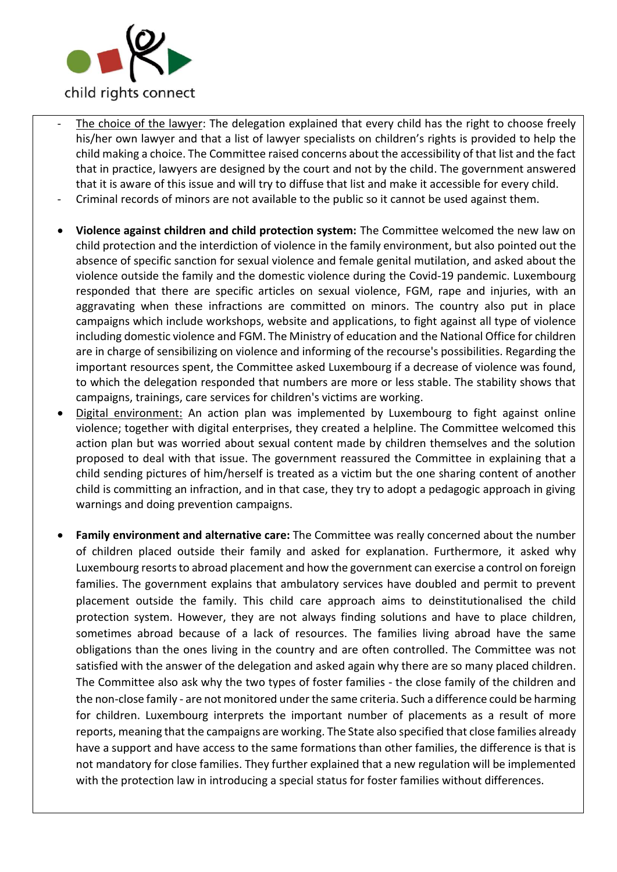

- The choice of the lawyer: The delegation explained that every child has the right to choose freely his/her own lawyer and that a list of lawyer specialists on children's rights is provided to help the child making a choice. The Committee raised concerns about the accessibility of that list and the fact that in practice, lawyers are designed by the court and not by the child. The government answered that it is aware of this issue and will try to diffuse that list and make it accessible for every child.
- Criminal records of minors are not available to the public so it cannot be used against them.
- **Violence against children and child protection system:** The Committee welcomed the new law on child protection and the interdiction of violence in the family environment, but also pointed out the absence of specific sanction for sexual violence and female genital mutilation, and asked about the violence outside the family and the domestic violence during the Covid-19 pandemic. Luxembourg responded that there are specific articles on sexual violence, FGM, rape and injuries, with an aggravating when these infractions are committed on minors. The country also put in place campaigns which include workshops, website and applications, to fight against all type of violence including domestic violence and FGM. The Ministry of education and the National Office for children are in charge of sensibilizing on violence and informing of the recourse's possibilities. Regarding the important resources spent, the Committee asked Luxembourg if a decrease of violence was found, to which the delegation responded that numbers are more or less stable. The stability shows that campaigns, trainings, care services for children's victims are working.
- Digital environment: An action plan was implemented by Luxembourg to fight against online violence; together with digital enterprises, they created a helpline. The Committee welcomed this action plan but was worried about sexual content made by children themselves and the solution proposed to deal with that issue. The government reassured the Committee in explaining that a child sending pictures of him/herself is treated as a victim but the one sharing content of another child is committing an infraction, and in that case, they try to adopt a pedagogic approach in giving warnings and doing prevention campaigns.
- **Family environment and alternative care:** The Committee was really concerned about the number of children placed outside their family and asked for explanation. Furthermore, it asked why Luxembourg resorts to abroad placement and how the government can exercise a control on foreign families. The government explains that ambulatory services have doubled and permit to prevent placement outside the family. This child care approach aims to deinstitutionalised the child protection system. However, they are not always finding solutions and have to place children, sometimes abroad because of a lack of resources. The families living abroad have the same obligations than the ones living in the country and are often controlled. The Committee was not satisfied with the answer of the delegation and asked again why there are so many placed children. The Committee also ask why the two types of foster families - the close family of the children and the non-close family - are not monitored under the same criteria. Such a difference could be harming for children. Luxembourg interprets the important number of placements as a result of more reports, meaning that the campaigns are working. The State also specified that close families already have a support and have access to the same formations than other families, the difference is that is not mandatory for close families. They further explained that a new regulation will be implemented with the protection law in introducing a special status for foster families without differences.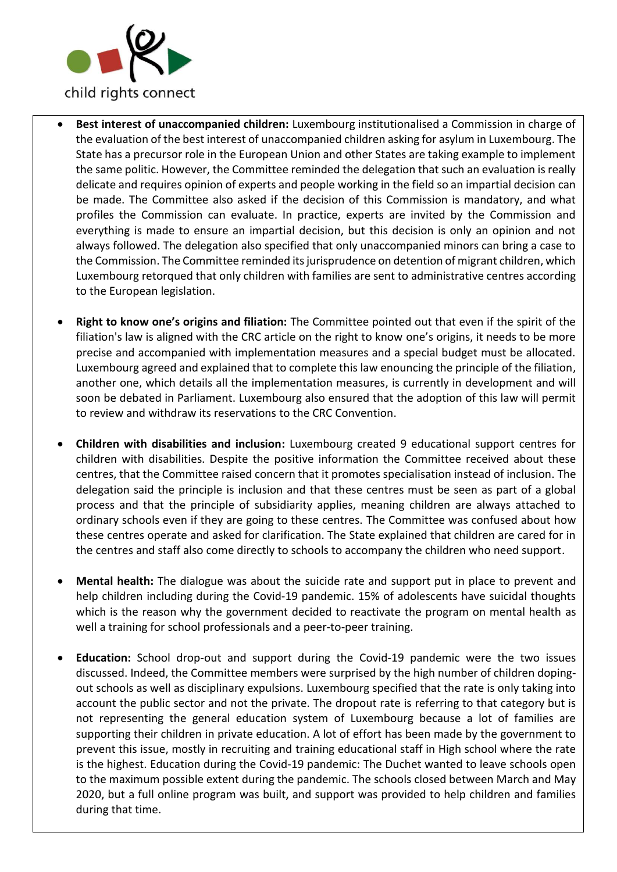

- **Best interest of unaccompanied children:** Luxembourg institutionalised a Commission in charge of the evaluation of the best interest of unaccompanied children asking for asylum in Luxembourg. The State has a precursor role in the European Union and other States are taking example to implement the same politic. However, the Committee reminded the delegation that such an evaluation is really delicate and requires opinion of experts and people working in the field so an impartial decision can be made. The Committee also asked if the decision of this Commission is mandatory, and what profiles the Commission can evaluate. In practice, experts are invited by the Commission and everything is made to ensure an impartial decision, but this decision is only an opinion and not always followed. The delegation also specified that only unaccompanied minors can bring a case to the Commission. The Committee reminded its jurisprudence on detention of migrant children, which Luxembourg retorqued that only children with families are sent to administrative centres according to the European legislation.
- **Right to know one's origins and filiation:** The Committee pointed out that even if the spirit of the filiation's law is aligned with the CRC article on the right to know one's origins, it needs to be more precise and accompanied with implementation measures and a special budget must be allocated. Luxembourg agreed and explained that to complete this law enouncing the principle of the filiation, another one, which details all the implementation measures, is currently in development and will soon be debated in Parliament. Luxembourg also ensured that the adoption of this law will permit to review and withdraw its reservations to the CRC Convention.
- **Children with disabilities and inclusion:** Luxembourg created 9 educational support centres for children with disabilities. Despite the positive information the Committee received about these centres, that the Committee raised concern that it promotes specialisation instead of inclusion. The delegation said the principle is inclusion and that these centres must be seen as part of a global process and that the principle of subsidiarity applies, meaning children are always attached to ordinary schools even if they are going to these centres. The Committee was confused about how these centres operate and asked for clarification. The State explained that children are cared for in the centres and staff also come directly to schools to accompany the children who need support.
- **Mental health:** The dialogue was about the suicide rate and support put in place to prevent and help children including during the Covid-19 pandemic. 15% of adolescents have suicidal thoughts which is the reason why the government decided to reactivate the program on mental health as well a training for school professionals and a peer-to-peer training.
- **Education:** School drop-out and support during the Covid-19 pandemic were the two issues discussed. Indeed, the Committee members were surprised by the high number of children dopingout schools as well as disciplinary expulsions. Luxembourg specified that the rate is only taking into account the public sector and not the private. The dropout rate is referring to that category but is not representing the general education system of Luxembourg because a lot of families are supporting their children in private education. A lot of effort has been made by the government to prevent this issue, mostly in recruiting and training educational staff in High school where the rate is the highest. Education during the Covid-19 pandemic: The Duchet wanted to leave schools open to the maximum possible extent during the pandemic. The schools closed between March and May 2020, but a full online program was built, and support was provided to help children and families during that time.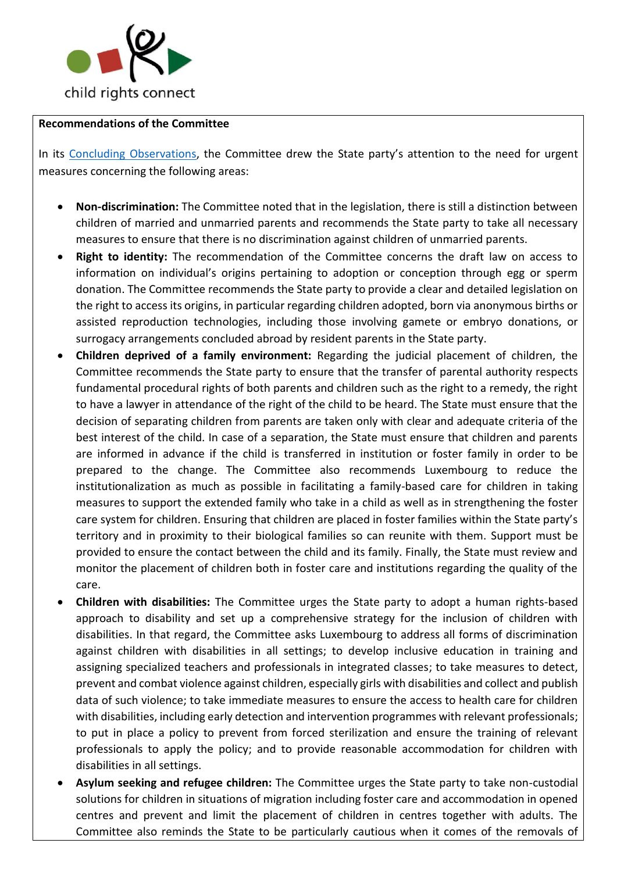

#### **Recommendations of the Committee**

In its [Concluding Observations,](https://tbinternet.ohchr.org/_layouts/15/treatybodyexternal/Download.aspx?symbolno=CRC%2fC%2fLUX%2fCO%2f5-6&Lang=en) the Committee drew the State party's attention to the need for urgent measures concerning the following areas:

- **Non-discrimination:** The Committee noted that in the legislation, there is still a distinction between children of married and unmarried parents and recommends the State party to take all necessary measures to ensure that there is no discrimination against children of unmarried parents.
- **Right to identity:** The recommendation of the Committee concerns the draft law on access to information on individual's origins pertaining to adoption or conception through egg or sperm donation. The Committee recommends the State party to provide a clear and detailed legislation on the right to access its origins, in particular regarding children adopted, born via anonymous births or assisted reproduction technologies, including those involving gamete or embryo donations, or surrogacy arrangements concluded abroad by resident parents in the State party.
- **Children deprived of a family environment:** Regarding the judicial placement of children, the Committee recommends the State party to ensure that the transfer of parental authority respects fundamental procedural rights of both parents and children such as the right to a remedy, the right to have a lawyer in attendance of the right of the child to be heard. The State must ensure that the decision of separating children from parents are taken only with clear and adequate criteria of the best interest of the child. In case of a separation, the State must ensure that children and parents are informed in advance if the child is transferred in institution or foster family in order to be prepared to the change. The Committee also recommends Luxembourg to reduce the institutionalization as much as possible in facilitating a family-based care for children in taking measures to support the extended family who take in a child as well as in strengthening the foster care system for children. Ensuring that children are placed in foster families within the State party's territory and in proximity to their biological families so can reunite with them. Support must be provided to ensure the contact between the child and its family. Finally, the State must review and monitor the placement of children both in foster care and institutions regarding the quality of the care.
- **Children with disabilities:** The Committee urges the State party to adopt a human rights-based approach to disability and set up a comprehensive strategy for the inclusion of children with disabilities. In that regard, the Committee asks Luxembourg to address all forms of discrimination against children with disabilities in all settings; to develop inclusive education in training and assigning specialized teachers and professionals in integrated classes; to take measures to detect, prevent and combat violence against children, especially girls with disabilities and collect and publish data of such violence; to take immediate measures to ensure the access to health care for children with disabilities, including early detection and intervention programmes with relevant professionals; to put in place a policy to prevent from forced sterilization and ensure the training of relevant professionals to apply the policy; and to provide reasonable accommodation for children with disabilities in all settings.
- **Asylum seeking and refugee children:** The Committee urges the State party to take non-custodial solutions for children in situations of migration including foster care and accommodation in opened centres and prevent and limit the placement of children in centres together with adults. The Committee also reminds the State to be particularly cautious when it comes of the removals of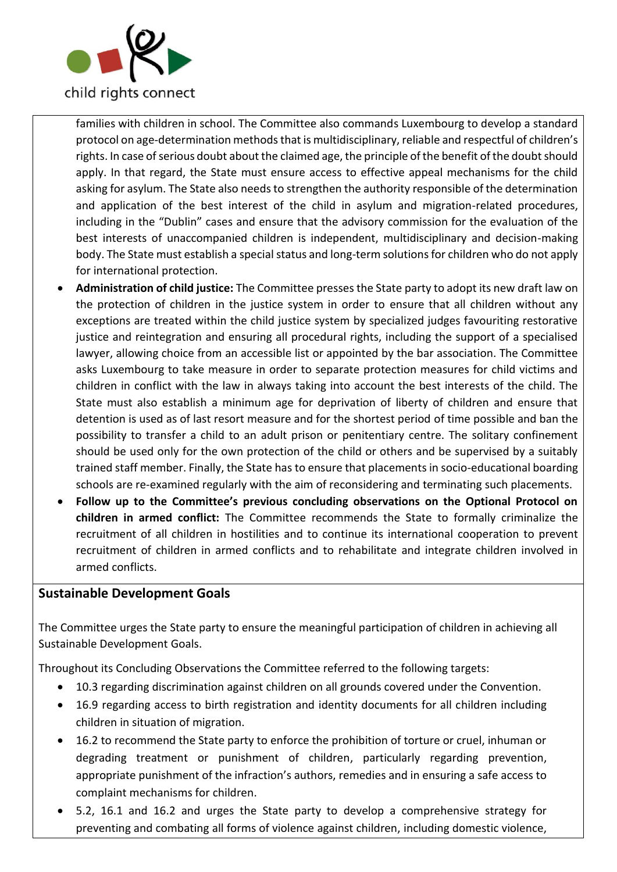

families with children in school. The Committee also commands Luxembourg to develop a standard protocol on age-determination methods that is multidisciplinary, reliable and respectful of children's rights. In case of serious doubt about the claimed age, the principle of the benefit of the doubt should apply. In that regard, the State must ensure access to effective appeal mechanisms for the child asking for asylum. The State also needs to strengthen the authority responsible of the determination and application of the best interest of the child in asylum and migration-related procedures, including in the "Dublin" cases and ensure that the advisory commission for the evaluation of the best interests of unaccompanied children is independent, multidisciplinary and decision-making body. The State must establish a special status and long-term solutions for children who do not apply for international protection.

- **Administration of child justice:** The Committee presses the State party to adopt its new draft law on the protection of children in the justice system in order to ensure that all children without any exceptions are treated within the child justice system by specialized judges favouriting restorative justice and reintegration and ensuring all procedural rights, including the support of a specialised lawyer, allowing choice from an accessible list or appointed by the bar association. The Committee asks Luxembourg to take measure in order to separate protection measures for child victims and children in conflict with the law in always taking into account the best interests of the child. The State must also establish a minimum age for deprivation of liberty of children and ensure that detention is used as of last resort measure and for the shortest period of time possible and ban the possibility to transfer a child to an adult prison or penitentiary centre. The solitary confinement should be used only for the own protection of the child or others and be supervised by a suitably trained staff member. Finally, the State has to ensure that placements in socio-educational boarding schools are re-examined regularly with the aim of reconsidering and terminating such placements.
- **Follow up to the Committee's previous concluding observations on the Optional Protocol on children in armed conflict:** The Committee recommends the State to formally criminalize the recruitment of all children in hostilities and to continue its international cooperation to prevent recruitment of children in armed conflicts and to rehabilitate and integrate children involved in armed conflicts.

### **Sustainable Development Goals**

The Committee urges the State party to ensure the meaningful participation of children in achieving all Sustainable Development Goals.

Throughout its Concluding Observations the Committee referred to the following targets:

- 10.3 regarding discrimination against children on all grounds covered under the Convention.
- 16.9 regarding access to birth registration and identity documents for all children including children in situation of migration.
- 16.2 to recommend the State party to enforce the prohibition of torture or cruel, inhuman or degrading treatment or punishment of children, particularly regarding prevention, appropriate punishment of the infraction's authors, remedies and in ensuring a safe access to complaint mechanisms for children.
- 5.2, 16.1 and 16.2 and urges the State party to develop a comprehensive strategy for preventing and combating all forms of violence against children, including domestic violence,